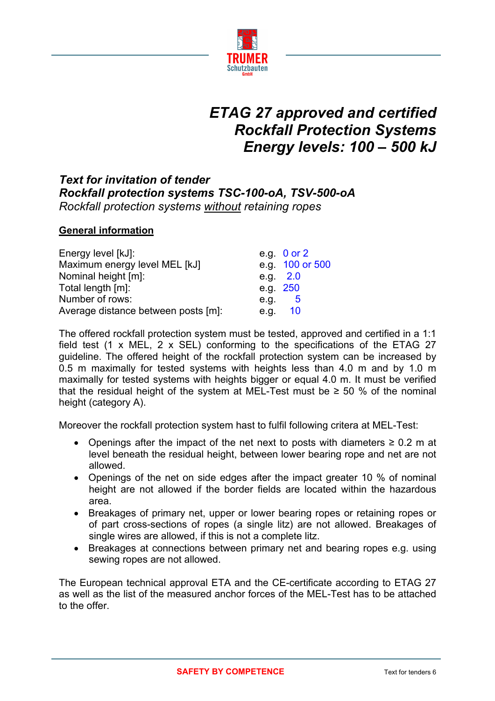

# *ETAG 27 approved and certified Rockfall Protection Systems Energy levels: 100 – 500 kJ*

## *Text for invitation of tender Rockfall protection systems TSC-100-oA, TSV-500-oA Rockfall protection systems without retaining ropes*

### **General information**

| Energy level [kJ]:                  |          | e.g. $0$ or $2$ |
|-------------------------------------|----------|-----------------|
| Maximum energy level MEL [kJ]       |          | e.g. 100 or 500 |
| Nominal height [m]:                 |          | e.g. $2.0$      |
| Total length [m]:                   | e.g. 250 |                 |
| Number of rows:                     | e.g.     | -5              |
| Average distance between posts [m]: |          | e.g. 10         |

The offered rockfall protection system must be tested, approved and certified in a 1:1 field test (1 x MEL, 2 x SEL) conforming to the specifications of the ETAG 27 guideline. The offered height of the rockfall protection system can be increased by 0.5 m maximally for tested systems with heights less than 4.0 m and by 1.0 m maximally for tested systems with heights bigger or equal 4.0 m. It must be verified that the residual height of the system at MEL-Test must be  $\geq$  50 % of the nominal height (category A).

Moreover the rockfall protection system hast to fulfil following critera at MEL-Test:

- Openings after the impact of the net next to posts with diameters  $\geq 0.2$  m at level beneath the residual height, between lower bearing rope and net are not allowed.
- Openings of the net on side edges after the impact greater 10 % of nominal height are not allowed if the border fields are located within the hazardous area.
- Breakages of primary net, upper or lower bearing ropes or retaining ropes or of part cross-sections of ropes (a single litz) are not allowed. Breakages of single wires are allowed, if this is not a complete litz.
- Breakages at connections between primary net and bearing ropes e.g. using sewing ropes are not allowed.

The European technical approval ETA and the CE-certificate according to ETAG 27 as well as the list of the measured anchor forces of the MEL-Test has to be attached to the offer.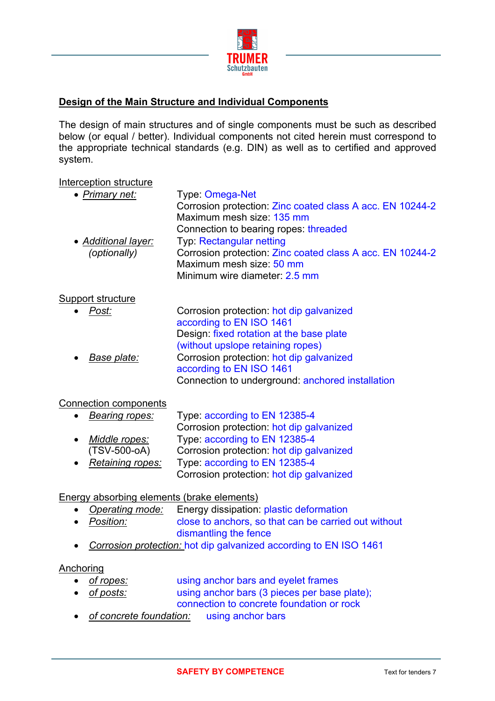

## **Design of the Main Structure and Individual Components**

The design of main structures and of single components must be such as described below (or equal / better). Individual components not cited herein must correspond to the appropriate technical standards (e.g. DIN) as well as to certified and approved system.

#### Interception structure

| • Primary net:      | Type: Omega-Net                                           |
|---------------------|-----------------------------------------------------------|
|                     | Corrosion protection: Zinc coated class A acc. EN 10244-2 |
|                     | Maximum mesh size: 135 mm                                 |
|                     | Connection to bearing ropes: threaded                     |
| • Additional layer: | <b>Typ: Rectangular netting</b>                           |
| (optionally)        | Corrosion protection: Zinc coated class A acc. EN 10244-2 |
|                     | Maximum mesh size: 50 mm                                  |
|                     | Minimum wire diameter: 2.5 mm                             |
|                     |                                                           |
| Support structure   |                                                           |
| Post:               | Corrosion protection: hot dip galvanized                  |
|                     | according to EN ISO 1461                                  |
|                     | Design: fixed rotation at the base plate                  |
|                     | (without upslope retaining ropes)                         |
| Base plate:         | Corrosion protection: hot dip galvanized                  |
|                     | according to EN ISO 1461                                  |
|                     | Connection to underground: anchored installation          |
|                     |                                                           |

#### Connection components

| $\bullet$ | Bearing ropes:   | Type: according to EN 12385-4            |
|-----------|------------------|------------------------------------------|
|           |                  | Corrosion protection: hot dip galvanized |
| $\bullet$ | Middle ropes:    | Type: according to EN 12385-4            |
|           | (TSV-500-oA)     | Corrosion protection: hot dip galvanized |
| $\bullet$ | Retaining ropes: | Type: according to EN 12385-4            |
|           |                  | Corrosion protection: hot dip galvanized |

#### Energy absorbing elements (brake elements)

- *Operating mode:* Energy dissipation: plastic deformation
- *Position:* close to anchors, so that can be carried out without dismantling the fence
- *Corrosion protection:* hot dip galvanized according to EN ISO 1461

#### **Anchoring**

- of ropes: using anchor bars and eyelet frames
- *of posts:* using anchor bars (3 pieces per base plate); connection to concrete foundation or rock
- *of concrete foundation:* using anchor bars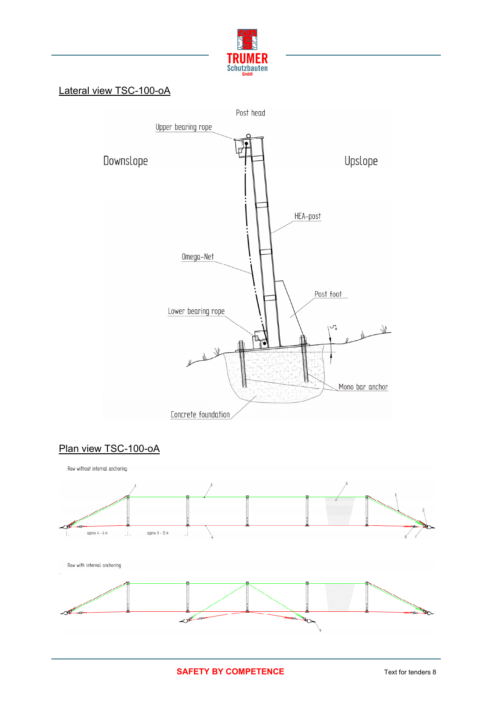

## Lateral view TSC-100-oA



## Plan view TSC-100-oA